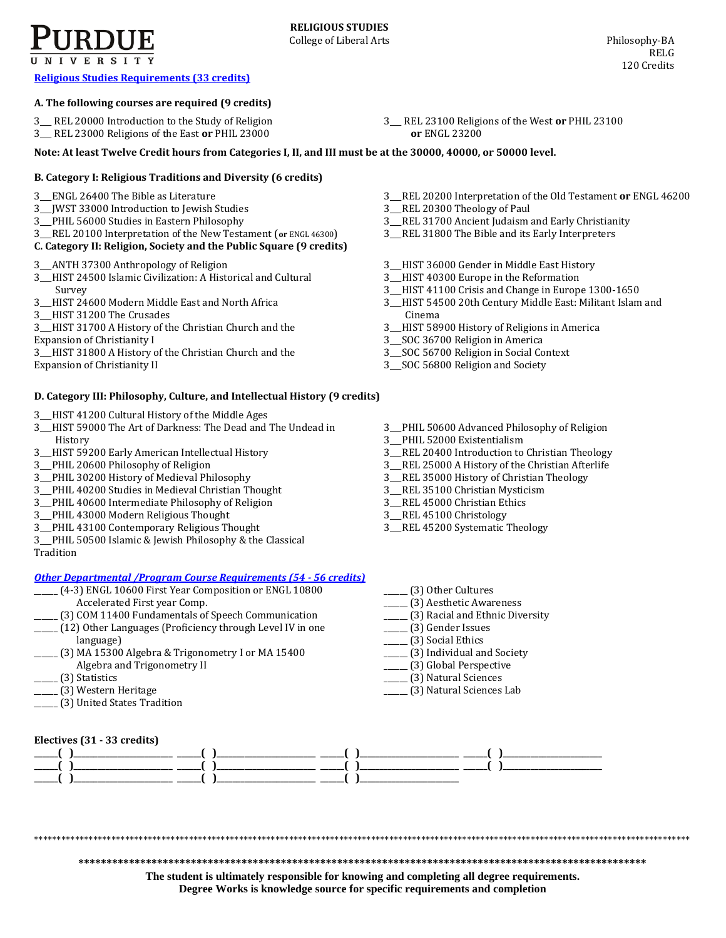**[Religious Studies Requirements \(33](http://www.cla.purdue.edu/academics/programs/pos/RELG201010.pdf) credits)**

## **A. The following courses are required (9 credits)**

- 3\_\_\_ REL 20000 Introduction to the Study of Religion
- 3\_\_\_ REL 23000 Religions of the East **or** PHIL 23000

**Note: At least Twelve Credit hours from Categories I, II, and III must be at the 30000, 40000, or 50000 level.**

# **B. Category I: Religious Traditions and Diversity (6 credits)**

- 3\_\_\_ENGL 26400 The Bible as Literature
- 3\_\_\_JWST 33000 Introduction to Jewish Studies
- 3\_\_\_PHIL 56000 Studies in Eastern Philosophy
- 3\_\_\_REL 20100 Interpretation of the New Testament (**or** ENGL 46300)

# **C. Category II: Religion, Society and the Public Square (9 credits)**

- 3\_\_\_ANTH 37300 Anthropology of Religion
- 3\_\_\_HIST 24500 Islamic Civilization: A Historical and Cultural Survey
- 3\_\_\_HIST 24600 Modern Middle East and North Africa
- 3\_\_\_HIST 31200 The Crusades
- 3\_\_\_HIST 31700 A History of the Christian Church and the
- Expansion of Christianity I 3\_\_\_HIST 31800 A History of the Christian Church and the
- Expansion of Christianity II

# **D. Category III: Philosophy, Culture, and Intellectual History (9 credits)**

- 3\_\_\_HIST 41200 Cultural History of the Middle Ages
- 3\_\_\_HIST 59000 The Art of Darkness: The Dead and The Undead in History
- 3\_\_\_HIST 59200 Early American Intellectual History
- 3\_\_\_PHIL 20600 Philosophy of Religion
- 3\_\_\_PHIL 30200 History of Medieval Philosophy
- 3\_\_\_PHIL 40200 Studies in Medieval Christian Thought
- 3\_\_\_PHIL 40600 Intermediate Philosophy of Religion
- 3\_\_\_PHIL 43000 Modern Religious Thought
- 3\_\_\_PHIL 43100 Contemporary Religious Thought
- 3\_\_\_PHIL 50500 Islamic & Jewish Philosophy & the Classical
- Tradition

# *[Other Departmental /Program Course Requirements \(54 -](http://www.cla.purdue.edu/academics/programs/pos/core201210v3.pdf) 56 credits)*

- \_\_\_\_\_\_ (4-3) ENGL 10600 First Year Composition or ENGL 10800 Accelerated First year Comp.
- \_\_\_\_\_\_ (3) COM 11400 Fundamentals of Speech Communication
- \_\_\_\_\_\_ (12) Other Languages (Proficiency through Level IV in one language)
- \_\_\_\_\_\_ (3) MA 15300 Algebra & Trigonometry I or MA 15400 Algebra and Trigonometry II
- \_\_\_\_\_\_ (3) Statistics
- \_\_\_\_\_\_ (3) Western Heritage
- 
- 3\_\_\_ REL 23100 Religions of the West **or** PHIL 23100 **or** ENGL 23200
- 
- 3\_\_\_REL 20200 Interpretation of the Old Testament **or** ENGL 46200
	- 3\_\_\_REL 20300 Theology of Paul
	- 3\_\_\_REL 31700 Ancient Judaism and Early Christianity
	- 3\_\_\_REL 31800 The Bible and its Early Interpreters
	- 3\_\_\_HIST 36000 Gender in Middle East History
	- 3\_\_\_HIST 40300 Europe in the Reformation
	- 3\_\_\_HIST 41100 Crisis and Change in Europe 1300-1650
	- 3\_\_\_HIST 54500 20th Century Middle East: Militant Islam and Cinema
	- 3\_\_\_HIST 58900 History of Religions in America
	- 3\_\_\_SOC 36700 Religion in America
	- 3\_\_\_SOC 56700 Religion in Social Context
	- 3\_\_\_SOC 56800 Religion and Society
	- 3\_\_\_PHIL 50600 Advanced Philosophy of Religion
	- 3\_\_\_PHIL 52000 Existentialism
	- 3\_\_\_REL 20400 Introduction to Christian Theology
- 3\_\_\_REL 25000 A History of the Christian Afterlife
- 3\_\_\_REL 35000 History of Christian Theology
- 3\_\_\_REL 35100 Christian Mysticism 3\_\_\_REL 45000 Christian Ethics
- 3\_\_\_REL 45100 Christology
- 3\_\_\_REL 45200 Systematic Theology
- \_\_\_\_\_\_ (3) Other Cultures
- \_\_\_\_\_\_ (3) Aesthetic Awareness
- \_\_\_\_\_\_ (3) Racial and Ethnic Diversity
- \_\_\_\_\_\_ (3) Gender Issues
- \_\_\_\_\_\_ (3) Social Ethics
- \_\_\_\_\_\_ (3) Individual and Society
- \_\_\_\_\_\_ (3) Global Perspective
- \_\_\_\_\_\_ (3) Natural Sciences \_\_\_\_\_\_ (3) Natural Sciences Lab
- **Electives (31 - 33 credits) \_\_\_\_\_\_( )\_\_\_\_\_\_\_\_\_\_\_\_\_\_\_\_\_\_\_\_\_\_\_\_\_ \_\_\_\_\_\_( )\_\_\_\_\_\_\_\_\_\_\_\_\_\_\_\_\_\_\_\_\_\_\_\_\_ \_\_\_\_\_\_( )\_\_\_\_\_\_\_\_\_\_\_\_\_\_\_\_\_\_\_\_\_\_\_\_\_ \_\_\_\_\_\_( )\_\_\_\_\_\_\_\_\_\_\_\_\_\_\_\_\_\_\_\_\_\_\_\_\_ \_\_\_\_\_\_( )\_\_\_\_\_\_\_\_\_\_\_\_\_\_\_\_\_\_\_\_\_\_\_\_\_ \_\_\_\_\_\_( )\_\_\_\_\_\_\_\_\_\_\_\_\_\_\_\_\_\_\_\_\_\_\_\_\_ \_\_\_\_\_\_( )\_\_\_\_\_\_\_\_\_\_\_\_\_\_\_\_\_\_\_\_\_\_\_\_\_ \_\_\_\_\_\_( )\_\_\_\_\_\_\_\_\_\_\_\_\_\_\_\_\_\_\_\_\_\_\_\_\_ \_\_\_\_\_\_( )\_\_\_\_\_\_\_\_\_\_\_\_\_\_\_\_\_\_\_\_\_\_\_\_\_ \_\_\_\_\_\_( )\_\_\_\_\_\_\_\_\_\_\_\_\_\_\_\_\_\_\_\_\_\_\_\_\_ \_\_\_\_\_\_( )\_\_\_\_\_\_\_\_\_\_\_\_\_\_\_\_\_\_\_\_\_\_\_\_\_**

\*\*\*\*\*\*\*\*\*\*\*\*\*\*\*\*\*\*\*\*\*\*\*\*\*\*\*\*\*\*\*\*\*\*\*\*\*\*\*\*\*\*\*\*\*\*\*\*\*\*\*\*\*\*\*\*\*\*\*\*\*\*\*\*\*\*\*\*\*\*\*\*\*\*\*\*\*\*\*\*\*\*\*\*\*\*\*\*\*\*\*\*\*\*\*\*\*\*\*\*\*\*\*\*\*\*\*\*\*\*\*\*\*\*\*\*\*\*\*\*\*\*\*\*\*\*\*\*\*\*\*\*\*\*\*\*\*\*\*\*\*\*\*\*

**\*\*\*\*\*\*\*\*\*\*\*\*\*\*\*\*\*\*\*\*\*\*\*\*\*\*\*\*\*\*\*\*\*\*\*\*\*\*\*\*\*\*\*\*\*\*\*\*\*\*\*\*\*\*\*\*\*\*\*\*\*\*\*\*\*\*\*\*\*\*\*\*\*\*\*\*\*\*\*\*\*\*\*\*\*\*\*\*\*\*\*\*\*\*\*\*\*\*\*\*\***

**The student is ultimately responsible for knowing and completing all degree requirements. Degree Works is knowledge source for specific requirements and completion**

- 
- 
- \_\_\_\_\_\_ (3) United States Tradition